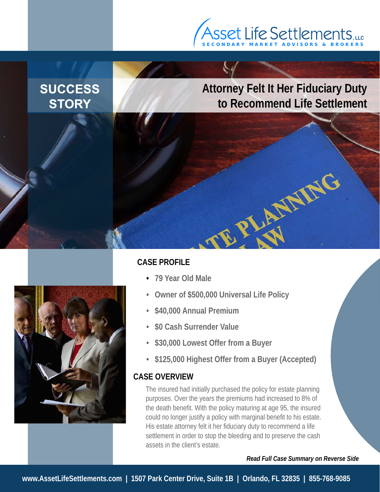# S E C O N D A R Y M A R K E T A D V I S O R S & B R O K E R S **, LLC**

# **SUCCESS STORY**

### **Attorney Felt It Her Fiduciary Duty to Recommend Life Settlement**

PLATFIRE



#### **CASE PROFILE**

- **79 Year Old Male**
- **Owner of \$500,000 Universal Life Policy**
- **\$40,000 Annual Premium**
- **\$0 Cash Surrender Value**
- **\$30,000 Lowest Offer from a Buyer**
- **\$125,000 Highest Offer from a Buyer (Accepted)**

#### **CASE OVERVIEW**

The insured had initially purchased the policy for estate planning purposes. Over the years the premiums had increased to 8% of the death benefit. With the policy maturing at age 95, the insured could no longer justify a policy with marginal benefit to his estate. His estate attorney felt it her fiduciary duty to recommend a life settlement in order to stop the bleeding and to preserve the cash assets in the client's estate.

*Read Full Case Summary on Reverse Side*